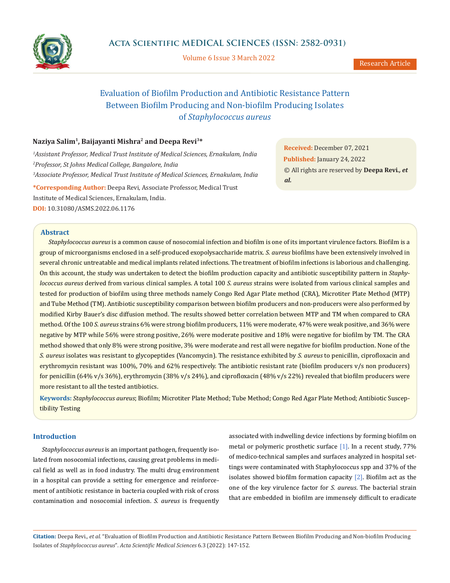

Volume 6 Issue 3 March 2022

# Evaluation of Biofilm Production and Antibiotic Resistance Pattern Between Biofilm Producing and Non-biofilm Producing Isolates of *Staphylococcus aureus*

# **Naziya Salim1, Baijayanti Mishra2 and Deepa Revi3\***

*1 Assistant Professor, Medical Trust Institute of Medical Sciences, Ernakulam, India 2 Professor, St Johns Medical College, Bangalore, India 3 Associate Professor, Medical Trust Institute of Medical Sciences, Ernakulam, India* **\*Corresponding Author:** Deepa Revi, Associate Professor, Medical Trust Institute of Medical Sciences, Ernakulam, India. **DOI:** [10.31080/ASMS.2022.06.1176](https://actascientific.com/ASMS/pdf/ASMS-06-1176.pdf)

**Abstract**

**Received:** December 07, 2021 **Published:** January 24, 2022 © All rights are reserved by **Deepa Revi***., et al.*

*Staphylococcus aureus* is a common cause of nosocomial infection and biofilm is one of its important virulence factors. Biofilm is a group of microorganisms enclosed in a self-produced exopolysaccharide matrix. *S. aureus* biofilms have been extensively involved in several chronic untreatable and medical implants related infections. The treatment of biofilm infections is laborious and challenging. On this account, the study was undertaken to detect the biofilm production capacity and antibiotic susceptibility pattern in *Staphylococcus aureus* derived from various clinical samples. A total 100 *S. aureus* strains were isolated from various clinical samples and tested for production of biofilm using three methods namely Congo Red Agar Plate method (CRA), Microtiter Plate Method (MTP) and Tube Method (TM). Antibiotic susceptibility comparison between biofilm producers and non-producers were also performed by modified Kirby Bauer's disc diffusion method. The results showed better correlation between MTP and TM when compared to CRA method. Of the 100 *S. aureus* strains 6% were strong biofilm producers, 11% were moderate, 47% were weak positive, and 36% were negative by MTP while 56% were strong positive, 26% were moderate positive and 18% were negative for biofilm by TM. The CRA method showed that only 8% were strong positive, 3% were moderate and rest all were negative for biofilm production. None of the *S. aureus* isolates was resistant to glycopeptides (Vancomycin). The resistance exhibited by *S. aureus* to penicillin, ciprofloxacin and erythromycin resistant was 100%, 70% and 62% respectively. The antibiotic resistant rate (biofilm producers v/s non producers) for penicillin (64% v/s 36%), erythromycin (38% v/s 24%), and ciprofloxacin (48% v/s 22%) revealed that biofilm producers were more resistant to all the tested antibiotics.

**Keywords:** *Staphylococcus aureus*; Biofilm; Microtiter Plate Method; Tube Method; Congo Red Agar Plate Method; Antibiotic Susceptibility Testing

# **Introduction**

*Staphylococcus aureus* is an important pathogen, frequently isolated from nosocomial infections, causing great problems in medical field as well as in food industry. The multi drug environment in a hospital can provide a setting for emergence and reinforcement of antibiotic resistance in bacteria coupled with risk of cross contamination and nosocomial infection. *S. aureus* is frequently associated with indwelling device infections by forming biofilm on metal or polymeric prosthetic surface [1]. In a recent study, 77% of medico-technical samples and surfaces analyzed in hospital settings were contaminated with Staphylococcus spp and 37% of the isolates showed biofilm formation capacity  $[2]$ . Biofilm act as the one of the key virulence factor for *S. aureus*. The bacterial strain that are embedded in biofilm are immensely difficult to eradicate

**Citation:** Deepa Revi*., et al.* "Evaluation of Biofilm Production and Antibiotic Resistance Pattern Between Biofilm Producing and Non-biofilm Producing Isolates of *Staphylococcus aureus*". *Acta Scientific Medical Sciences* 6.3 (2022): 147-152.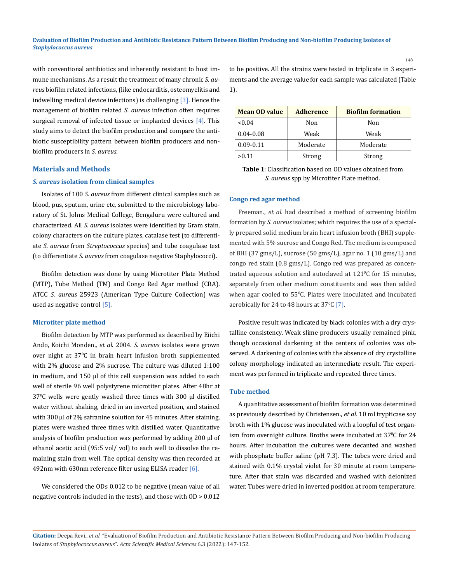with conventional antibiotics and inherently resistant to host immune mechanisms. As a result the treatment of many chronic *S. aureus* biofilm related infections, (like endocarditis, osteomyelitis and indwelling medical device infections) is challenging [3]. Hence the management of biofilm related *S. aureus* infection often requires surgical removal of infected tissue or implanted devices  $[4]$ . This study aims to detect the biofilm production and compare the antibiotic susceptibility pattern between biofilm producers and nonbiofilm producers in *S. aureus*.

# **Materials and Methods**

# *S. aureus* **isolation from clinical samples**

Isolates of 100 *S. aureus* from different clinical samples such as blood, pus, sputum, urine etc, submitted to the microbiology laboratory of St. Johns Medical College, Bengaluru were cultured and characterized. All *S. aureus* isolates were identified by Gram stain, colony characters on the culture plates, catalase test (to differentiate *S. aureus* from *Streptococcus* species) and tube coagulase test (to differentiate *S. aureus* from coagulase negative Staphylococci).

Biofilm detection was done by using Microtiter Plate Method (MTP), Tube Method (TM) and Congo Red Agar method (CRA). ATCC *S. aureus* 25923 (American Type Culture Collection) was used as negative control [5].

#### **Microtiter plate method**

Biofilm detection by MTP was performed as described by Eiichi Ando, Koichi Monden., *et al*. 2004. *S. aureus* isolates were grown over night at 37<sup>0</sup> C in brain heart infusion broth supplemented with 2% glucose and 2% sucrose. The culture was diluted 1:100 in medium, and 150 µl of this cell suspension was added to each well of sterile 96 well polystyrene microtiter plates. After 48hr at 37<sup>0</sup> C wells were gently washed three times with 300 µl distilled water without shaking, dried in an inverted position, and stained with 300 µl of 2% safranine solution for 45 minutes. After staining, plates were washed three times with distilled water. Quantitative analysis of biofilm production was performed by adding 200 µl of ethanol acetic acid (95:5 vol/ vol) to each well to dissolve the remaining stain from well. The optical density was then recorded at 492nm with 630nm reference filter using ELISA reader [6].

We considered the ODs 0.012 to be negative (mean value of all negative controls included in the tests), and those with OD > 0.012 to be positive. All the strains were tested in triplicate in 3 experiments and the average value for each sample was calculated (Table 1).

| <b>Mean OD value</b> | <b>Adherence</b> | <b>Biofilm formation</b> |
|----------------------|------------------|--------------------------|
| < 0.04               | Non              | Non                      |
| $0.04 - 0.08$        | Weak             | Weak                     |
| $0.09 - 0.11$        | Moderate         | Moderate                 |
| >0.11                | Strong           | Strong                   |

**Table 1**: Classification based on OD values obtained from *S. aureus* spp by Microtiter Plate method.

#### **Congo red agar method**

Freeman., *et al.* had described a method of screening biofilm formation by *S. aureus* isolates; which requires the use of a specially prepared solid medium brain heart infusion broth (BHI) supplemented with 5% sucrose and Congo Red. The medium is composed of BHI (37 gms/L), sucrose (50 gms/L), agar no. 1 (10 gms/L) and congo red stain (0.8 gms/L). Congo red was prepared as concentrated aqueous solution and autoclaved at  $121^{\circ}$ C for 15 minutes, separately from other medium constituents and was then added when agar cooled to  $55^{\circ}$ C. Plates were inoculated and incubated aerobically for 24 to 48 hours at  $37^{\circ}$ C [7].

Positive result was indicated by black colonies with a dry crystalline consistency. Weak slime producers usually remained pink, though occasional darkening at the centers of colonies was observed. A darkening of colonies with the absence of dry crystalline colony morphology indicated an intermediate result. The experiment was performed in triplicate and repeated three times.

## **Tube method**

A quantitative assessment of biofilm formation was determined as previously described by Christensen., *et al*. 10 ml trypticase soy broth with 1% glucose was inoculated with a loopful of test organism from overnight culture. Broths were incubated at 37°C for 24 hours. After incubation the cultures were decanted and washed with phosphate buffer saline (pH 7.3). The tubes were dried and stained with 0.1% crystal violet for 30 minute at room temperature. After that stain was discarded and washed with deionized water. Tubes were dried in inverted position at room temperature.

**Citation:** Deepa Revi*., et al.* "Evaluation of Biofilm Production and Antibiotic Resistance Pattern Between Biofilm Producing and Non-biofilm Producing Isolates of *Staphylococcus aureus*". *Acta Scientific Medical Sciences* 6.3 (2022): 147-152.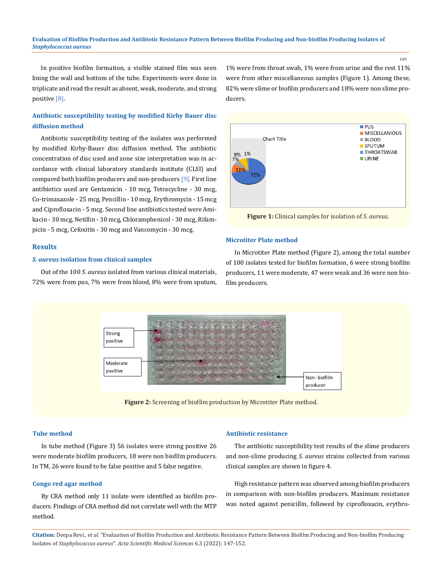#### **Evaluation of Biofilm Production and Antibiotic Resistance Pattern Between Biofilm Producing and Non-biofilm Producing Isolates of** *Staphylococcus aureus*

ducers.

149

In positive biofilm formation, a visible stained film was seen lining the wall and bottom of the tube. Experiments were done in triplicate and read the result as absent, weak, moderate, and strong positive [8].

# **Antibiotic susceptibility testing by modified Kirby Bauer disc diffusion method**

Antibiotic susceptibility testing of the isolates was performed by modified Kirby-Bauer disc diffusion method. The antibiotic concentration of disc used and zone size interpretation was in accordance with clinical laboratory standards institute (CLSI) and compared both biofilm producers and non-producers [9]. First line antibiotics used are Gentamicin - 10 mcg, Tetracycline - 30 mcg, Co-trimaxazole - 25 mcg, Pencillin - 10 mcg, Erythromycin - 15 mcg and Ciprofloxacin - 5 mcg. Second line antibiotics tested were Amikacin - 30 mcg, Netillin - 30 mcg, Chloramphenicol - 30 mcg, Rifampicin - 5 mcg, Cefoxitin - 30 mcg and Vancomycin - 30 mcg.

#### **Results**

# *S. aureus* **isolation from clinical samples**

Out of the 100 *S. aureus* isolated from various clinical materials, 72% were from pus, 7% were from blood, 8% were from sputum,



1% were from throat swab, 1% were from urine and the rest 11% were from other miscellaneous samples (Figure 1). Among these, 82% were slime or biofilm producers and 18% were non slime pro-

**Figure 1:** Clinical samples for isolation of *S. aureus.*

#### **Microtiter Plate method**

In Microtiter Plate method (Figure 2), among the total number of 100 isolates tested for biofilm formation, 6 were strong biofilm producers, 11 were moderate, 47 were weak and 36 were non biofilm producers.



**Figure 2:** Screening of biofilm production by Microtiter Plate method.

### **Tube method**

In tube method (Figure 3) 56 isolates were strong positive 26 were moderate biofilm producers, 18 were non biofilm producers. In TM, 26 were found to be false positive and 5 false negative.

# **Congo red agar method**

By CRA method only 11 isolate were identified as biofilm producers. Findings of CRA method did not correlate well with the MTP method.

### **Antibiotic resistance**

The antibiotic susceptibility test results of the slime producers and non-slime producing *S. aureus* strains collected from various clinical samples are shown in figure 4.

High resistance pattern was observed among biofilm producers in comparison with non-biofilm producers. Maximum resistance was noted against penicillin, followed by ciprofloxacin, erythro-

**Citation:** Deepa Revi*., et al.* "Evaluation of Biofilm Production and Antibiotic Resistance Pattern Between Biofilm Producing and Non-biofilm Producing Isolates of *Staphylococcus aureus*". *Acta Scientific Medical Sciences* 6.3 (2022): 147-152.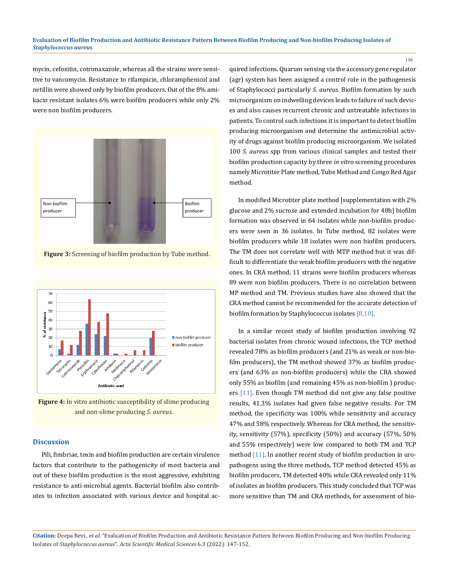mycin, cefoxitin, cotrimaxazole, whereas all the strains were sensitive to vancomycin. Resistance to rifampicin, chloramphenicol and netillin were showed only by biofilm producers. Out of the 8% amikacin resistant isolates 6% were biofilm producers while only 2% were non biofilm producers.



**Figure 3:** Screening of biofilm production by Tube method.



**Figure 4:** In vitro antibiotic susceptibility of slime producing and non-slime producing *S. aureus.*

# **Discussion**

Pili, fimbriae, toxin and biofilm production are certain virulence factors that contribute to the pathogenicity of most bacteria and out of these biofilm production is the most aggressive, exhibiting resistance to anti-microbial agents. Bacterial biofilm also contributes to infection associated with various device and hospital acquired infections. Quarum sensing via the accessory gene regulator (agr) system has been assigned a control role in the pathogenesis of Staphylococci particularly *S. aureus.* Biofilm formation by such microorganism on indwelling devices leads to failure of such devices and also causes recurrent chronic and untreatable infections in patients. To control such infections it is important to detect biofilm producing microorganism and determine the antimicrobial activity of drugs against biofilm producing microorganism. We isolated 100 *S. aureus* spp from various clinical samples and tested their biofilm production capacity by three *in vitro* screening procedures namely Microtiter Plate method, Tube Method and Congo Red Agar method.

In modified Microtiter plate method [supplementation with 2% glucose and 2% sucrose and extended incubation for 48h] biofilm formation was observed in 64 isolates while non-biofilm producers were seen in 36 isolates. In Tube method, 82 isolates were biofilm producers while 18 isolates were non biofilm producers. The TM does not correlate well with MTP method but it was difficult to differentiate the weak biofilm producers with the negative ones. In CRA method, 11 strains were biofilm producers whereas 89 were non biofilm producers. There is no correlation between MP method and TM. Previous studies have also showed that the CRA method cannot be recommended for the accurate detection of biofilm formation by Staphylococcus isolates [8,10].

In a similar recent study of biofilm production involving 92 bacterial isolates from chronic wound infections, the TCP method revealed 78% as biofilm producers (and 21% as weak or non-biofilm producers), the TM method showed 37% as biofilm producers (and 63% as non-biofilm producers) while the CRA showed only 55% as biofilm (and remaining 45% as non-biofilm ) producers [11]. Even though TM method did not give any false positive results, 41.3% isolates had given false negative results. For TM method, the specificity was 100% while sensitivity and accuracy 47% and 58% respectively. Whereas for CRA method, the sensitivity, sensitivity (57%), specificity (50%) and accuracy (57%, 50% and 55% respectively) were low compared to both TM and TCP method [11]. In another recent study of biofilm production in uropathogens using the three methods, TCP method detected 45% as biofilm producers, TM detected 40% while CRA revealed only 11% of isolates as biofilm producers. This study concluded that TCP was more sensitive than TM and CRA methods, for assessment of bio-

**Citation:** Deepa Revi*., et al.* "Evaluation of Biofilm Production and Antibiotic Resistance Pattern Between Biofilm Producing and Non-biofilm Producing Isolates of *Staphylococcus aureus*". *Acta Scientific Medical Sciences* 6.3 (2022): 147-152.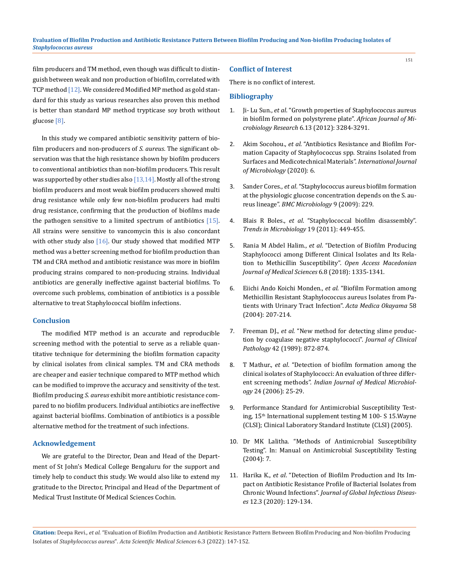film producers and TM method, even though was difficult to distinguish between weak and non production of biofilm, correlated with TCP method [12]. We considered Modified MP method as gold standard for this study as various researches also proven this method is better than standard MP method trypticase soy broth without glucose [8].

In this study we compared antibiotic sensitivity pattern of biofilm producers and non-producers of *S. aureus*. The significant observation was that the high resistance shown by biofilm producers to conventional antibiotics than non-biofilm producers. This result was supported by other studies also  $[13,14]$ . Mostly all of the strong biofilm producers and most weak biofilm producers showed multi drug resistance while only few non-biofilm producers had multi drug resistance, confirming that the production of biofilms made the pathogen sensitive to a limited spectrum of antibiotics  $[15]$ . All strains were sensitive to vancomycin this is also concordant with other study also  $[16]$ . Our study showed that modified MTP method was a better screening method for biofilm production than TM and CRA method and antibiotic resistance was more in biofilm producing strains compared to non-producing strains. Individual antibiotics are generally ineffective against bacterial biofilms. To overcome such problems, combination of antibiotics is a possible alternative to treat Staphylococcal biofilm infections.

# **Conclusion**

The modified MTP method is an accurate and reproducible screening method with the potential to serve as a reliable quantitative technique for determining the biofilm formation capacity by clinical isolates from clinical samples. TM and CRA methods are cheaper and easier technique compared to MTP method which can be modified to improve the accuracy and sensitivity of the test. Biofilm producing *S. aureus* exhibit more antibiotic resistance compared to no biofilm producers. Individual antibiotics are ineffective against bacterial biofilms. Combination of antibiotics is a possible alternative method for the treatment of such infections.

### **Acknowledgement**

We are grateful to the Director, Dean and Head of the Department of St John's Medical College Bengaluru for the support and timely help to conduct this study. We would also like to extend my gratitude to the Director, Principal and Head of the Department of Medical Trust Institute Of Medical Sciences Cochin.

#### **Conflict of Interest**

There is no conflict of interest.

### **Bibliography**

- 1. Ji- Lu Sun., *et al*[. "Growth properties of Staphylococcus aureus](https://academicjournals.org/article/article1380714383_Sun%20et%20al.pdf) [in biofilm formed on polystyrene plate".](https://academicjournals.org/article/article1380714383_Sun%20et%20al.pdf) *African Journal of Microbiology Research* [6.13 \(2012\): 3284-3291.](https://academicjournals.org/article/article1380714383_Sun%20et%20al.pdf)
- 2. Akim Socohou., *et al*[. "Antibiotics Resistance and Biofilm For](https://doi.org/10.1155/2020/6512106)[mation Capacity of Staphylococcus spp. Strains Isolated from](https://doi.org/10.1155/2020/6512106) [Surfaces and Medicotechnical Materials".](https://doi.org/10.1155/2020/6512106) *International Journal [of Microbiology](https://doi.org/10.1155/2020/6512106)* (2020): 6.
- 3. Sander Cores., *et al*[. "Staphylococcus aureus biofilm formation](https://pubmed.ncbi.nlm.nih.gov/19863820/) [at the physiologic glucose concentration depends on the S. au](https://pubmed.ncbi.nlm.nih.gov/19863820/)reus lineage". *[BMC Microbiology](https://pubmed.ncbi.nlm.nih.gov/19863820/)* 9 (2009): 229.
- 4. Blais R Boles., *et al*[. "Staphylococcal biofilm disassembly".](https://pubmed.ncbi.nlm.nih.gov/21784640/)  *[Trends in Microbiology](https://pubmed.ncbi.nlm.nih.gov/21784640/)* 19 (2011): 449-455.
- 5. Rania M Abdel Halim., *et al*[. "Detection of Biofilm Producing](https://pubmed.ncbi.nlm.nih.gov/30159052/) [Staphylococci among Different Clinical Isolates and Its Rela](https://pubmed.ncbi.nlm.nih.gov/30159052/)[tion to Methicillin Susceptibility".](https://pubmed.ncbi.nlm.nih.gov/30159052/) *Open Access Macedonian [Journal of Medical Sciences](https://pubmed.ncbi.nlm.nih.gov/30159052/)* 6.8 (2018): 1335-1341.
- 6. [Eiichi Ando Koichi Monden.,](https://pubmed.ncbi.nlm.nih.gov/15551758/) *et al*. "Biofilm Formation among [Methicillin Resistant Staphylococcus aureus Isolates from Pa](https://pubmed.ncbi.nlm.nih.gov/15551758/)[tients with Urinary Tract Infection".](https://pubmed.ncbi.nlm.nih.gov/15551758/) *Acta Medica Okayama* 58 [\(2004\): 207-214.](https://pubmed.ncbi.nlm.nih.gov/15551758/)
- 7. Freeman DJ., *et al*[. "New method for detecting slime produc](https://www.ncbi.nlm.nih.gov/pmc/articles/PMC1142068/)[tion by coagulase negative staphylococci".](https://www.ncbi.nlm.nih.gov/pmc/articles/PMC1142068/) *Journal of Clinical Pathology* [42 \(1989\): 872-874.](https://www.ncbi.nlm.nih.gov/pmc/articles/PMC1142068/)
- 8. T Mathur., *et al*[. "Detection of biofilm formation among the](https://pubmed.ncbi.nlm.nih.gov/16505551/) [clinical isolates of Staphylococci: An evaluation of three differ](https://pubmed.ncbi.nlm.nih.gov/16505551/)ent screening methods". *[Indian Journal of Medical Microbiol](https://pubmed.ncbi.nlm.nih.gov/16505551/)ogy* [24 \(2006\): 25-29.](https://pubmed.ncbi.nlm.nih.gov/16505551/)
- 9. Performance Standard for Antimicrobial Susceptibility Testing, 15<sup>th</sup> International supplement testing M 100-S 15. Wayne (CLSI); Clinical Laboratory Standard Institute (CLSI) (2005).
- 10. Dr MK Lalitha. "Methods of Antimicrobial Susceptibility Testing". In: Manual on Antimicrobial Susceptibility Testing (2004): 7.
- 11. Harika K., *et al*[. "Detection of Biofilm Production and Its Im](https://pubmed.ncbi.nlm.nih.gov/33343163/)[pact on Antibiotic Resistance Profile of Bacterial Isolates from](https://pubmed.ncbi.nlm.nih.gov/33343163/) Chronic Wound Infections". *[Journal of Global Infectious Diseas](https://pubmed.ncbi.nlm.nih.gov/33343163/)es* [12.3 \(2020\): 129-134.](https://pubmed.ncbi.nlm.nih.gov/33343163/)

**Citation:** Deepa Revi*., et al.* "Evaluation of Biofilm Production and Antibiotic Resistance Pattern Between Biofilm Producing and Non-biofilm Producing Isolates of *Staphylococcus aureus*". *Acta Scientific Medical Sciences* 6.3 (2022): 147-152.